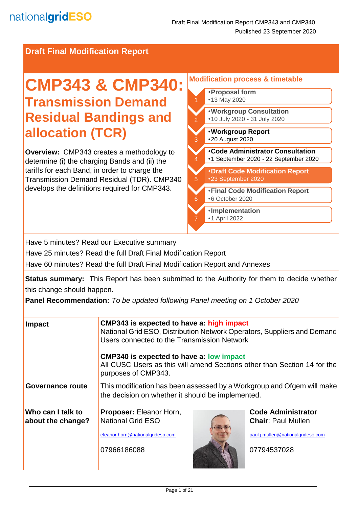**Draft Final Modification Report**

# **CMP343 & CMP340: Transmission Demand Residual Bandings and allocation (TCR)**

**Overview:** CMP343 creates a methodology to determine (i) the charging Bands and (ii) the tariffs for each Band, in order to charge the Transmission Demand Residual (TDR). CMP340 develops the definitions required for CMP343.

#### **Modification process & timetable**  •**Proposal form** •13 May 2020 2 •**Code Administrator Consultation** •1 September 2020 - 22 September 2020 3 •**Workgroup Report**  •20 August 2020 4 •**Workgroup Consultation** •10 July 2020 - 31 July 2020 5 •**Draft Code Modification Report** •23 September 2020 k. •**Final Code Modification Report** •6 October 2020 7 •**Implementation** •1 April 2022

Have 5 minutes? Read our Executive summary

Have 25 minutes? Read the full Draft Final Modification Report

Have 60 minutes? Read the full Draft Final Modification Report and Annexes

**Status summary:** This Report has been submitted to the Authority for them to decide whether this change should happen.

**Panel Recommendation:** *To be updated following Panel meeting on 1 October 2020*

| <b>Impact</b>                          | CMP343 is expected to have a: high impact<br>National Grid ESO, Distribution Network Operators, Suppliers and Demand<br>Users connected to the Transmission Network<br><b>CMP340 is expected to have a: low impact</b><br>All CUSC Users as this will amend Sections other than Section 14 for the<br>purposes of CMP343. |  |                                                                                                            |  |
|----------------------------------------|---------------------------------------------------------------------------------------------------------------------------------------------------------------------------------------------------------------------------------------------------------------------------------------------------------------------------|--|------------------------------------------------------------------------------------------------------------|--|
| Governance route                       | This modification has been assessed by a Workgroup and Ofgem will make<br>the decision on whether it should be implemented.                                                                                                                                                                                               |  |                                                                                                            |  |
| Who can I talk to<br>about the change? | <b>Proposer: Eleanor Horn,</b><br><b>National Grid ESO</b><br>eleanor.horn@nationalgrideso.com<br>07966186088                                                                                                                                                                                                             |  | <b>Code Administrator</b><br><b>Chair: Paul Mullen</b><br>paul.j.mullen@nationalgrideso.com<br>07794537028 |  |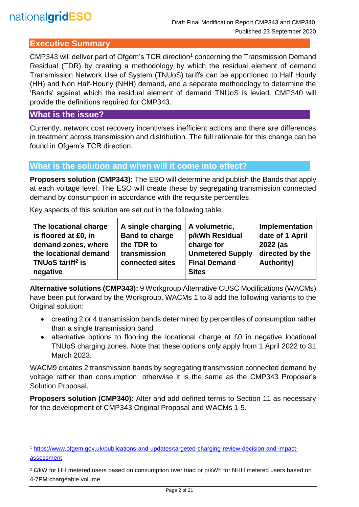# **Executive Summary**

CMP343 will deliver part of Ofgem's TCR direction<sup>1</sup> concerning the Transmission Demand Residual (TDR) by creating a methodology by which the residual element of demand Transmission Network Use of System (TNUoS) tariffs can be apportioned to Half Hourly (HH) and Non Half-Hourly (NHH) demand, and a separate methodology to determine the 'Bands' against which the residual element of demand TNUoS is levied. CMP340 will provide the definitions required for CMP343.

# **What is the issue?**

l

Currently, network cost recovery incentivises inefficient actions and there are differences in treatment across transmission and distribution. The full rationale for this change can be found in Ofgem's TCR direction.

# **What is the solution and when will it come into effect?**

**Proposers solution (CMP343):** The ESO will determine and publish the Bands that apply at each voltage level. The ESO will create these by segregating transmission connected demand by consumption in accordance with the requisite percentiles.

Key aspects of this solution are set out in the following table:

**Alternative solutions (CMP343):** 9 Workgroup Alternative CUSC Modifications (WACMs) have been put forward by the Workgroup. WACMs 1 to 8 add the following variants to the Original solution:

- creating 2 or 4 transmission bands determined by percentiles of consumption rather than a single transmission band
- alternative options to flooring the locational charge at £0 in negative locational TNUoS charging zones. Note that these options only apply from 1 April 2022 to 31 March 2023.

WACM9 creates 2 transmission bands by segregating transmission connected demand by voltage rather than consumption; otherwise it is the same as the CMP343 Proposer's Solution Proposal.

**Proposers solution (CMP340):** Alter and add defined terms to Section 11 as necessary for the development of CMP343 Original Proposal and WACMs 1-5.

<sup>1</sup> [https://www.ofgem.gov.uk/publications-and-updates/targeted-charging-review-decision-and-impact](https://www.ofgem.gov.uk/publications-and-updates/targeted-charging-review-decision-and-impact-assessment)[assessment](https://www.ofgem.gov.uk/publications-and-updates/targeted-charging-review-decision-and-impact-assessment)

<sup>&</sup>lt;sup>2</sup> £/kW for HH metered users based on consumption over triad or p/kWh for NHH metered users based on 4-7PM chargeable volume.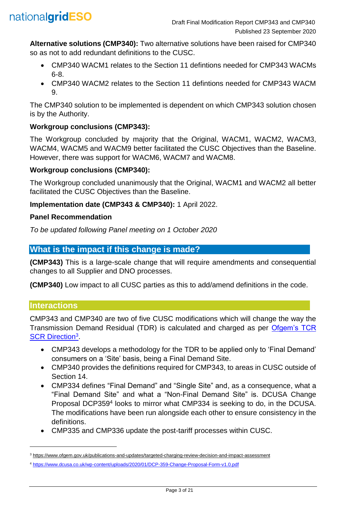

**Alternative solutions (CMP340):** Two alternative solutions have been raised for CMP340 so as not to add redundant definitions to the CUSC.

- CMP340 WACM1 relates to the Section 11 defintions needed for CMP343 WACMs 6-8.
- CMP340 WACM2 relates to the Section 11 defintions needed for CMP343 WACM 9.

The CMP340 solution to be implemented is dependent on which CMP343 solution chosen is by the Authority.

# **Workgroup conclusions (CMP343):**

The Workgroup concluded by majority that the Original, WACM1, WACM2, WACM3, WACM4, WACM5 and WACM9 better facilitated the CUSC Objectives than the Baseline. However, there was support for WACM6, WACM7 and WACM8.

## **Workgroup conclusions (CMP340):**

The Workgroup concluded unanimously that the Original, WACM1 and WACM2 all better facilitated the CUSC Objectives than the Baseline.

## **Implementation date (CMP343 & CMP340):** 1 April 2022.

#### **Panel Recommendation**

*To be updated following Panel meeting on 1 October 2020*

# **What is the impact if this change is made?**

**(CMP343)** This is a large-scale change that will require amendments and consequential changes to all Supplier and DNO processes.

**(CMP340)** Low impact to all CUSC parties as this to add/amend definitions in the code.

## **Interactions**

l

CMP343 and CMP340 are two of five CUSC modifications which will change the way the Transmission Demand Residual (TDR) is calculated and charged as per [Ofgem's TCR](https://www.ofgem.gov.uk/publications-and-updates/targeted-charging-review-decision-and-impact-assessment)  [SCR Direction](https://www.ofgem.gov.uk/publications-and-updates/targeted-charging-review-decision-and-impact-assessment)<sup>3</sup>

- CMP343 develops a methodology for the TDR to be applied only to 'Final Demand' consumers on a 'Site' basis, being a Final Demand Site.
- CMP340 provides the definitions required for CMP343, to areas in CUSC outside of Section 14.
- CMP334 defines "Final Demand" and "Single Site" and, as a consequence, what a "Final Demand Site" and what a "Non-Final Demand Site" is. DCUSA Change Proposal DCP359<sup>4</sup> looks to mirror what CMP334 is seeking to do, in the DCUSA. The modifications have been run alongside each other to ensure consistency in the definitions.
- CMP335 and CMP336 update the post-tariff processes within CUSC.

<sup>3</sup> <https://www.ofgem.gov.uk/publications-and-updates/targeted-charging-review-decision-and-impact-assessment>

<sup>4</sup> <https://www.dcusa.co.uk/wp-content/uploads/2020/01/DCP-359-Change-Proposal-Form-v1.0.pdf>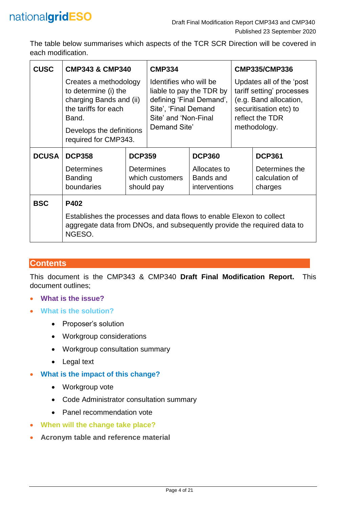The table below summarises which aspects of the TCR SCR Direction will be covered in each modification.

| <b>CUSC</b>  | <b>CMP343 &amp; CMP340</b>                                                                                                                                    |                               | <b>CMP334</b>                                                                                                                                  |                           | <b>CMP335/CMP336</b>                                                                                                                         |                                  |
|--------------|---------------------------------------------------------------------------------------------------------------------------------------------------------------|-------------------------------|------------------------------------------------------------------------------------------------------------------------------------------------|---------------------------|----------------------------------------------------------------------------------------------------------------------------------------------|----------------------------------|
|              | Creates a methodology<br>to determine (i) the<br>charging Bands and (ii)<br>the tariffs for each<br>Band.<br>Develops the definitions<br>required for CMP343. |                               | Identifies who will be<br>liable to pay the TDR by<br>defining 'Final Demand',<br>Site', 'Final Demand<br>Site' and 'Non-Final<br>Demand Site' |                           | Updates all of the 'post<br>tariff setting' processes<br>(e.g. Band allocation,<br>securitisation etc) to<br>reflect the TDR<br>methodology. |                                  |
| <b>DCUSA</b> | <b>DCP358</b>                                                                                                                                                 | <b>DCP359</b>                 |                                                                                                                                                | <b>DCP360</b>             |                                                                                                                                              | <b>DCP361</b>                    |
|              | <b>Determines</b><br><b>Banding</b>                                                                                                                           | <b>Determines</b>             |                                                                                                                                                | Allocates to<br>Bands and |                                                                                                                                              | Determines the<br>calculation of |
|              | boundaries                                                                                                                                                    | which customers<br>should pay |                                                                                                                                                | interventions             |                                                                                                                                              | charges                          |
| <b>BSC</b>   | P402                                                                                                                                                          |                               |                                                                                                                                                |                           |                                                                                                                                              |                                  |
|              | Establishes the processes and data flows to enable Elexon to collect<br>aggregate data from DNOs, and subsequently provide the required data to<br>NGESO.     |                               |                                                                                                                                                |                           |                                                                                                                                              |                                  |

# **Contents**

This document is the CMP343 & CMP340 **Draft Final Modification Report.** This document outlines;

- **What is the issue?**
- **What is the solution?**
	- Proposer's solution
	- Workgroup considerations
	- Workgroup consultation summary
	- Legal text
- **What is the impact of this change?**
	- Workgroup vote
	- Code Administrator consultation summary
	- Panel recommendation vote
- **When will the change take place?**
- **Acronym table and reference material**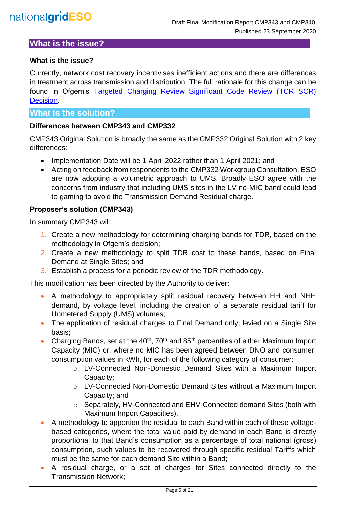# **What is the issue?**

#### **What is the issue?**

Currently, network cost recovery incentivises inefficient actions and there are differences in treatment across transmission and distribution. The full rationale for this change can be found in Ofgem's Targeted Charging Review Significant Code Review (TCR SCR) [Decision.](https://www.ofgem.gov.uk/system/files/docs/2019/12/full_decision_doc_updated.pdf)

#### **What is the solution?**

#### **Differences between CMP343 and CMP332**

CMP343 Original Solution is broadly the same as the CMP332 Original Solution with 2 key differences:

- Implementation Date will be 1 April 2022 rather than 1 April 2021; and
- Acting on feedback from respondents to the CMP332 Workgroup Consultation, ESO are now adopting a volumetric approach to UMS. Broadly ESO agree with the concerns from industry that including UMS sites in the LV no-MIC band could lead to gaming to avoid the Transmission Demand Residual charge.

#### **Proposer's solution (CMP343)**

In summary CMP343 will:

- 1. Create a new methodology for determining charging bands for TDR, based on the methodology in Ofgem's decision;
- 2. Create a new methodology to split TDR cost to these bands, based on Final Demand at Single Sites; and
- 3. Establish a process for a periodic review of the TDR methodology.

This modification has been directed by the Authority to deliver:

- A methodology to appropriately split residual recovery between HH and NHH demand, by voltage level, including the creation of a separate residual tariff for Unmetered Supply (UMS) volumes;
- The application of residual charges to Final Demand only, levied on a Single Site basis;
- Charging Bands, set at the  $40<sup>th</sup>$ , 70<sup>th</sup> and 85<sup>th</sup> percentiles of either Maximum Import Capacity (MIC) or, where no MIC has been agreed between DNO and consumer, consumption values in kWh, for each of the following category of consumer:
	- o LV-Connected Non-Domestic Demand Sites with a Maximum Import Capacity;
	- o LV-Connected Non-Domestic Demand Sites without a Maximum Import Capacity; and
	- o Separately, HV-Connected and EHV-Connected demand Sites (both with Maximum Import Capacities).
- A methodology to apportion the residual to each Band within each of these voltagebased categories, where the total value paid by demand in each Band is directly proportional to that Band's consumption as a percentage of total national (gross) consumption, such values to be recovered through specific residual Tariffs which must be the same for each demand Site within a Band;
- A residual charge, or a set of charges for Sites connected directly to the Transmission Network;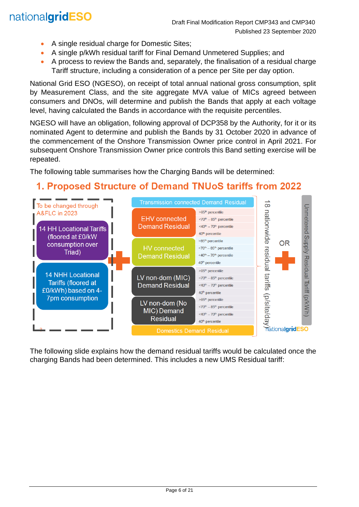# nationalgridESO

- A single residual charge for Domestic Sites;
- A single p/kWh residual tariff for Final Demand Unmetered Supplies; and
- A process to review the Bands and, separately, the finalisation of a residual charge Tariff structure, including a consideration of a pence per Site per day option.

National Grid ESO (NGESO), on receipt of total annual national gross consumption, split by Measurement Class, and the site aggregate MVA value of MICs agreed between consumers and DNOs, will determine and publish the Bands that apply at each voltage level, having calculated the Bands in accordance with the requisite percentiles.

NGESO will have an obligation, following approval of DCP358 by the Authority, for it or its nominated Agent to determine and publish the Bands by 31 October 2020 in advance of the commencement of the Onshore Transmission Owner price control in April 2021. For subsequent Onshore Transmission Owner price controls this Band setting exercise will be repeated.

The following table summarises how the Charging Bands will be determined:

# 1. Proposed Structure of Demand TNUoS tariffs from 2022



The following slide explains how the demand residual tariffs would be calculated once the charging Bands had been determined. This includes a new UMS Residual tariff: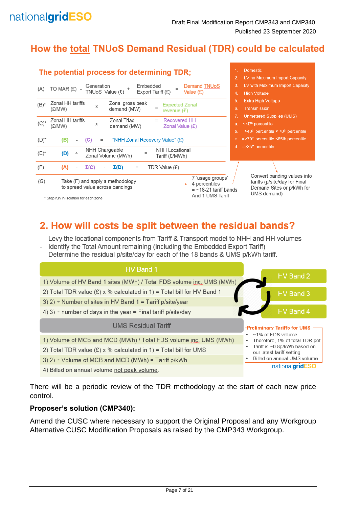

# How the total TNUoS Demand Residual (TDR) could be calculated



# 2. How will costs be split between the residual bands?

- Levy the locational components from Tariff & Transport model to NHH and HH volumes
- Identify the Total Amount remaining (including the Embedded Export Tariff)
- Determine the residual p/site/day for each of the 18 bands & UMS p/kWh tariff.



There will be a periodic review of the TDR methodology at the start of each new price control.

#### **Proposer's solution (CMP340):**

Amend the CUSC where necessary to support the Original Proposal and any Workgroup Alternative CUSC Modification Proposals as raised by the CMP343 Workgroup.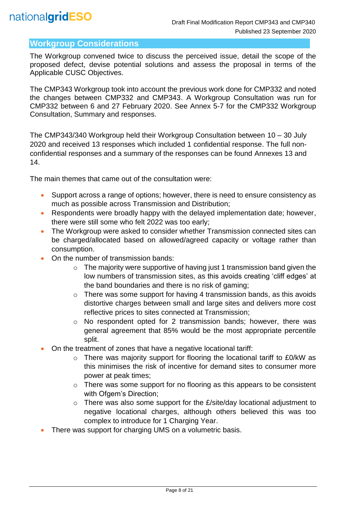# **Workgroup Considerations**

The Workgroup convened twice to discuss the perceived issue, detail the scope of the proposed defect, devise potential solutions and assess the proposal in terms of the Applicable CUSC Objectives.

The CMP343 Workgroup took into account the previous work done for CMP332 and noted the changes between CMP332 and CMP343. A Workgroup Consultation was run for CMP332 between 6 and 27 February 2020. See Annex 5-7 for the CMP332 Workgroup Consultation, Summary and responses.

The CMP343/340 Workgroup held their Workgroup Consultation between 10 – 30 July 2020 and received 13 responses which included 1 confidential response. The full nonconfidential responses and a summary of the responses can be found Annexes 13 and 14.

The main themes that came out of the consultation were:

- Support across a range of options; however, there is need to ensure consistency as much as possible across Transmission and Distribution;
- Respondents were broadly happy with the delayed implementation date; however, there were still some who felt 2022 was too early;
- The Workgroup were asked to consider whether Transmission connected sites can be charged/allocated based on allowed/agreed capacity or voltage rather than consumption.
- On the number of transmission bands:
	- $\circ$  The majority were supportive of having just 1 transmission band given the low numbers of transmission sites, as this avoids creating 'cliff edges' at the band boundaries and there is no risk of gaming;
	- o There was some support for having 4 transmission bands, as this avoids distortive charges between small and large sites and delivers more cost reflective prices to sites connected at Transmission;
	- o No respondent opted for 2 transmission bands; however, there was general agreement that 85% would be the most appropriate percentile split.
- On the treatment of zones that have a negative locational tariff:
	- o There was majority support for flooring the locational tariff to £0/kW as this minimises the risk of incentive for demand sites to consumer more power at peak times;
	- o There was some support for no flooring as this appears to be consistent with Ofgem's Direction;
	- o There was also some support for the £/site/day locational adjustment to negative locational charges, although others believed this was too complex to introduce for 1 Charging Year.
- There was support for charging UMS on a volumetric basis.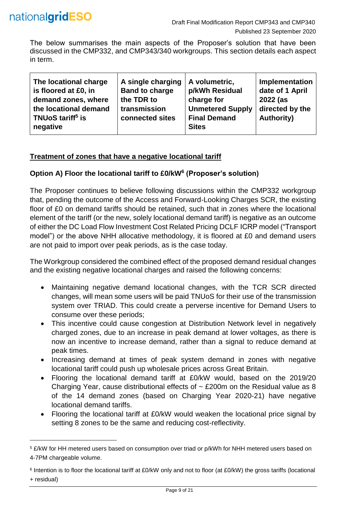

l

The below summarises the main aspects of the Proposer's solution that have been discussed in the CMP332, and CMP343/340 workgroups. This section details each aspect in term.

| The locational charge                     | A single charging     | A volumetric,           | Implementation    |
|-------------------------------------------|-----------------------|-------------------------|-------------------|
| is floored at £0, in                      | <b>Band to charge</b> | p/kWh Residual          | date of 1 April   |
| demand zones, where                       | the TDR to            | charge for              | 2022 (as          |
| the locational demand                     | transmission          | <b>Unmetered Supply</b> | directed by the   |
| TNU <sub>o</sub> S tariff <sup>5</sup> is | connected sites       | <b>Final Demand</b>     | <b>Authority)</b> |
| negative                                  |                       | <b>Sites</b>            |                   |

#### **Treatment of zones that have a negative locational tariff**

#### **Option A) Floor the locational tariff to £0/kW<sup>6</sup> (Proposer's solution)**

The Proposer continues to believe following discussions within the CMP332 workgroup that, pending the outcome of the Access and Forward-Looking Charges SCR, the existing floor of £0 on demand tariffs should be retained, such that in zones where the locational element of the tariff (or the new, solely locational demand tariff) is negative as an outcome of either the DC Load Flow Investment Cost Related Pricing DCLF ICRP model ("Transport model") or the above NHH allocative methodology, it is floored at £0 and demand users are not paid to import over peak periods, as is the case today.

The Workgroup considered the combined effect of the proposed demand residual changes and the existing negative locational charges and raised the following concerns:

- Maintaining negative demand locational changes, with the TCR SCR directed changes, will mean some users will be paid TNUoS for their use of the transmission system over TRIAD. This could create a perverse incentive for Demand Users to consume over these periods;
- This incentive could cause congestion at Distribution Network level in negatively charged zones, due to an increase in peak demand at lower voltages, as there is now an incentive to increase demand, rather than a signal to reduce demand at peak times.
- Increasing demand at times of peak system demand in zones with negative locational tariff could push up wholesale prices across Great Britain.
- Flooring the locational demand tariff at £0/kW would, based on the 2019/20 Charging Year, cause distributional effects of  $\sim$  £200m on the Residual value as 8 of the 14 demand zones (based on Charging Year 2020-21) have negative locational demand tariffs.
- Flooring the locational tariff at £0/kW would weaken the locational price signal by setting 8 zones to be the same and reducing cost-reflectivity.

<sup>5</sup> £/kW for HH metered users based on consumption over triad or p/kWh for NHH metered users based on 4-7PM chargeable volume.

<sup>6</sup> Intention is to floor the locational tariff at £0/kW only and not to floor (at £0/kW) the gross tariffs (locational + residual)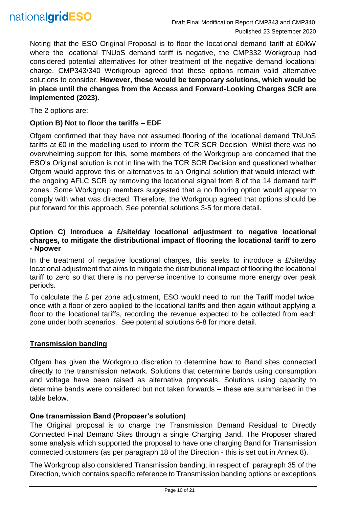

Noting that the ESO Original Proposal is to floor the locational demand tariff at £0/kW where the locational TNUoS demand tariff is negative, the CMP332 Workgroup had considered potential alternatives for other treatment of the negative demand locational charge. CMP343/340 Workgroup agreed that these options remain valid alternative solutions to consider. **However, these would be temporary solutions, which would be in place until the changes from the Access and Forward-Looking Charges SCR are implemented (2023).**

The 2 options are:

#### **Option B) Not to floor the tariffs – EDF**

Ofgem confirmed that they have not assumed flooring of the locational demand TNUoS tariffs at £0 in the modelling used to inform the TCR SCR Decision. Whilst there was no overwhelming support for this, some members of the Workgroup are concerned that the ESO's Original solution is not in line with the TCR SCR Decision and questioned whether Ofgem would approve this or alternatives to an Original solution that would interact with the ongoing AFLC SCR by removing the locational signal from 8 of the 14 demand tariff zones. Some Workgroup members suggested that a no flooring option would appear to comply with what was directed. Therefore, the Workgroup agreed that options should be put forward for this approach. See potential solutions 3-5 for more detail.

#### **Option C) Introduce a £/site/day locational adjustment to negative locational charges, to mitigate the distributional impact of flooring the locational tariff to zero - Npower**

In the treatment of negative locational charges, this seeks to introduce a  $E/\text{site}/\text{day}$ locational adjustment that aims to mitigate the distributional impact of flooring the locational tariff to zero so that there is no perverse incentive to consume more energy over peak periods.

To calculate the £ per zone adjustment, ESO would need to run the Tariff model twice, once with a floor of zero applied to the locational tariffs and then again without applying a floor to the locational tariffs, recording the revenue expected to be collected from each zone under both scenarios. See potential solutions 6-8 for more detail.

#### **Transmission banding**

Ofgem has given the Workgroup discretion to determine how to Band sites connected directly to the transmission network. Solutions that determine bands using consumption and voltage have been raised as alternative proposals. Solutions using capacity to determine bands were considered but not taken forwards – these are summarised in the table below.

#### **One transmission Band (Proposer's solution)**

The Original proposal is to charge the Transmission Demand Residual to Directly Connected Final Demand Sites through a single Charging Band. The Proposer shared some analysis which supported the proposal to have one charging Band for Transmission connected customers (as per paragraph 18 of the Direction - this is set out in Annex 8).

The Workgroup also considered Transmission banding, in respect of paragraph 35 of the Direction, which contains specific reference to Transmission banding options or exceptions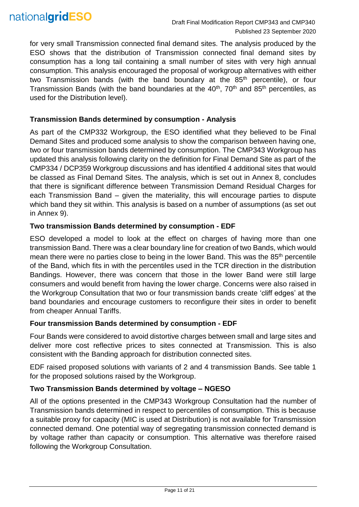

for very small Transmission connected final demand sites. The analysis produced by the ESO shows that the distribution of Transmission connected final demand sites by consumption has a long tail containing a small number of sites with very high annual consumption. This analysis encouraged the proposal of workgroup alternatives with either two Transmission bands (with the band boundary at the 85<sup>th</sup> percentile), or four Transmission Bands (with the band boundaries at the  $40<sup>th</sup>$ , 70<sup>th</sup> and 85<sup>th</sup> percentiles, as used for the Distribution level).

#### **Transmission Bands determined by consumption - Analysis**

As part of the CMP332 Workgroup, the ESO identified what they believed to be Final Demand Sites and produced some analysis to show the comparison between having one, two or four transmission bands determined by consumption. The CMP343 Workgroup has updated this analysis following clarity on the definition for Final Demand Site as part of the CMP334 / DCP359 Workgroup discussions and has identified 4 additional sites that would be classed as Final Demand Sites. The analysis, which is set out in Annex 8, concludes that there is significant difference between Transmission Demand Residual Charges for each Transmission Band – given the materiality, this will encourage parties to dispute which band they sit within. This analysis is based on a number of assumptions (as set out in Annex 9).

#### **Two transmission Bands determined by consumption - EDF**

ESO developed a model to look at the effect on charges of having more than one transmission Band. There was a clear boundary line for creation of two Bands, which would mean there were no parties close to being in the lower Band. This was the 85<sup>th</sup> percentile of the Band, which fits in with the percentiles used in the TCR direction in the distribution Bandings. However, there was concern that those in the lower Band were still large consumers and would benefit from having the lower charge. Concerns were also raised in the Workgroup Consultation that two or four transmission bands create 'cliff edges' at the band boundaries and encourage customers to reconfigure their sites in order to benefit from cheaper Annual Tariffs.

#### **Four transmission Bands determined by consumption - EDF**

Four Bands were considered to avoid distortive charges between small and large sites and deliver more cost reflective prices to sites connected at Transmission. This is also consistent with the Banding approach for distribution connected sites.

EDF raised proposed solutions with variants of 2 and 4 transmission Bands. See table 1 for the proposed solutions raised by the Workgroup.

#### **Two Transmission Bands determined by voltage – NGESO**

All of the options presented in the CMP343 Workgroup Consultation had the number of Transmission bands determined in respect to percentiles of consumption. This is because a suitable proxy for capacity (MIC is used at Distribution) is not available for Transmission connected demand. One potential way of segregating transmission connected demand is by voltage rather than capacity or consumption. This alternative was therefore raised following the Workgroup Consultation.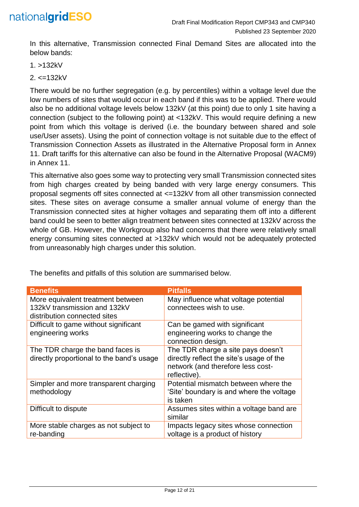

In this alternative, Transmission connected Final Demand Sites are allocated into the below bands:

1. >132kV

2. <=132kV

There would be no further segregation (e.g. by percentiles) within a voltage level due the low numbers of sites that would occur in each band if this was to be applied. There would also be no additional voltage levels below 132kV (at this point) due to only 1 site having a connection (subject to the following point) at <132kV. This would require defining a new point from which this voltage is derived (i.e. the boundary between shared and sole use/User assets). Using the point of connection voltage is not suitable due to the effect of Transmission Connection Assets as illustrated in the Alternative Proposal form in Annex 11. Draft tariffs for this alternative can also be found in the Alternative Proposal (WACM9) in Annex 11.

This alternative also goes some way to protecting very small Transmission connected sites from high charges created by being banded with very large energy consumers. This proposal segments off sites connected at <=132kV from all other transmission connected sites. These sites on average consume a smaller annual volume of energy than the Transmission connected sites at higher voltages and separating them off into a different band could be seen to better align treatment between sites connected at 132kV across the whole of GB. However, the Workgroup also had concerns that there were relatively small energy consuming sites connected at >132kV which would not be adequately protected from unreasonably high charges under this solution.

| <b>Benefits</b>                                                                                   | <b>Pitfalls</b>                                                                                                                     |
|---------------------------------------------------------------------------------------------------|-------------------------------------------------------------------------------------------------------------------------------------|
| More equivalent treatment between<br>132kV transmission and 132kV<br>distribution connected sites | May influence what voltage potential<br>connectees wish to use.                                                                     |
| Difficult to game without significant<br>engineering works                                        | Can be gamed with significant<br>engineering works to change the<br>connection design.                                              |
| The TDR charge the band faces is<br>directly proportional to the band's usage                     | The TDR charge a site pays doesn't<br>directly reflect the site's usage of the<br>network (and therefore less cost-<br>reflective). |
| Simpler and more transparent charging<br>methodology                                              | Potential mismatch between where the<br>'Site' boundary is and where the voltage<br>is taken                                        |
| Difficult to dispute                                                                              | Assumes sites within a voltage band are<br>similar                                                                                  |
| More stable charges as not subject to<br>re-banding                                               | Impacts legacy sites whose connection<br>voltage is a product of history                                                            |

The benefits and pitfalls of this solution are summarised below.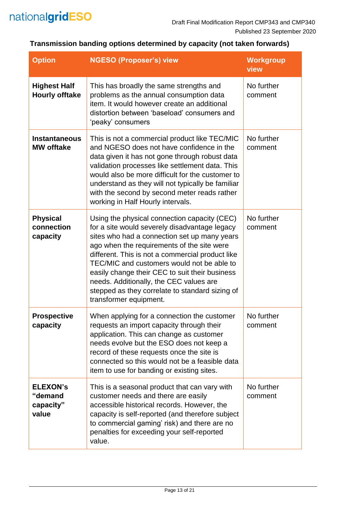

# **Transmission banding options determined by capacity (not taken forwards)**

| <b>Option</b>                                    | <b>NGESO (Proposer's) view</b>                                                                                                                                                                                                                                                                                                                                                                                                                                          | <b>Workgroup</b><br>view |
|--------------------------------------------------|-------------------------------------------------------------------------------------------------------------------------------------------------------------------------------------------------------------------------------------------------------------------------------------------------------------------------------------------------------------------------------------------------------------------------------------------------------------------------|--------------------------|
| <b>Highest Half</b><br><b>Hourly offtake</b>     | This has broadly the same strengths and<br>problems as the annual consumption data<br>item. It would however create an additional<br>distortion between 'baseload' consumers and<br>'peaky' consumers                                                                                                                                                                                                                                                                   | No further<br>comment    |
| <b>Instantaneous</b><br><b>MW offtake</b>        | This is not a commercial product like TEC/MIC<br>and NGESO does not have confidence in the<br>data given it has not gone through robust data<br>validation processes like settlement data. This<br>would also be more difficult for the customer to<br>understand as they will not typically be familiar<br>with the second by second meter reads rather<br>working in Half Hourly intervals.                                                                           | No further<br>comment    |
| <b>Physical</b><br>connection<br>capacity        | Using the physical connection capacity (CEC)<br>for a site would severely disadvantage legacy<br>sites who had a connection set up many years<br>ago when the requirements of the site were<br>different. This is not a commercial product like<br>TEC/MIC and customers would not be able to<br>easily change their CEC to suit their business<br>needs. Additionally, the CEC values are<br>stepped as they correlate to standard sizing of<br>transformer equipment. | No further<br>comment    |
| <b>Prospective</b><br>capacity                   | When applying for a connection the customer<br>requests an import capacity through their<br>application. This can change as customer<br>needs evolve but the ESO does not keep a<br>record of these requests once the site is<br>connected so this would not be a feasible data<br>item to use for banding or existing sites.                                                                                                                                           | No further<br>comment    |
| <b>ELEXON'S</b><br>"demand<br>capacity"<br>value | This is a seasonal product that can vary with<br>customer needs and there are easily<br>accessible historical records. However, the<br>capacity is self-reported (and therefore subject<br>to commercial gaming' risk) and there are no<br>penalties for exceeding your self-reported<br>value.                                                                                                                                                                         | No further<br>comment    |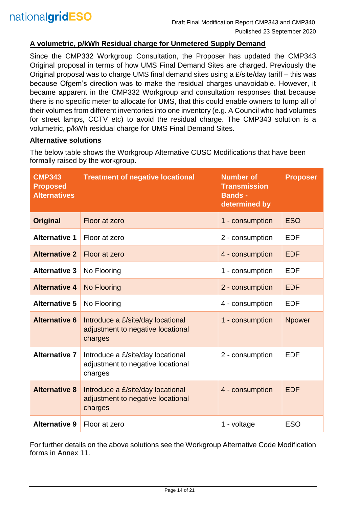#### **A volumetric, p/kWh Residual charge for Unmetered Supply Demand**

Since the CMP332 Workgroup Consultation, the Proposer has updated the CMP343 Original proposal in terms of how UMS Final Demand Sites are charged. Previously the Original proposal was to charge UMS final demand sites using a £/site/day tariff – this was because Ofgem's direction was to make the residual charges unavoidable. However, it became apparent in the CMP332 Workgroup and consultation responses that because there is no specific meter to allocate for UMS, that this could enable owners to lump all of their volumes from different inventories into one inventory (e.g. A Council who had volumes for street lamps, CCTV etc) to avoid the residual charge. The CMP343 solution is a volumetric, p/kWh residual charge for UMS Final Demand Sites.

#### **Alternative solutions**

The below table shows the Workgroup Alternative CUSC Modifications that have been formally raised by the workgroup.

| <b>CMP343</b><br><b>Proposed</b><br><b>Alternatives</b> | <b>Treatment of negative locational</b>                                                              | <b>Number of</b><br><b>Transmission</b><br><b>Bands -</b><br>determined by |               |
|---------------------------------------------------------|------------------------------------------------------------------------------------------------------|----------------------------------------------------------------------------|---------------|
| <b>Original</b>                                         | Floor at zero                                                                                        | 1 - consumption                                                            | <b>ESO</b>    |
| <b>Alternative 1</b>                                    | Floor at zero                                                                                        | 2 - consumption                                                            | <b>EDF</b>    |
| <b>Alternative 2</b>                                    | Floor at zero                                                                                        | 4 - consumption                                                            | <b>EDF</b>    |
| <b>Alternative 3</b>                                    | No Flooring                                                                                          | 1 - consumption                                                            | <b>EDF</b>    |
| <b>Alternative 4</b>                                    | No Flooring                                                                                          |                                                                            | <b>EDF</b>    |
| <b>Alternative 5</b>                                    | No Flooring                                                                                          | 4 - consumption                                                            | <b>EDF</b>    |
| <b>Alternative 6</b>                                    | Introduce a £/site/day locational<br>adjustment to negative locational<br>charges                    | 1 - consumption                                                            | <b>Npower</b> |
| <b>Alternative 7</b>                                    | Introduce a £/site/day locational<br>2 - consumption<br>adjustment to negative locational<br>charges |                                                                            | <b>EDF</b>    |
| <b>Alternative 8</b>                                    | Introduce a £/site/day locational<br>adjustment to negative locational<br>charges                    | 4 - consumption                                                            | <b>EDF</b>    |
| <b>Alternative 9</b>                                    | Floor at zero                                                                                        | 1 - voltage                                                                | <b>ESO</b>    |

For further details on the above solutions see the Workgroup Alternative Code Modification forms in Annex 11.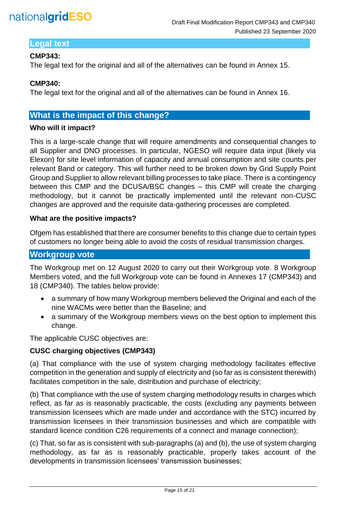

# **Legal text**

#### **CMP343:**

The legal text for the original and all of the alternatives can be found in Annex 15.

#### **CMP340:**

The legal text for the original and all of the alternatives can be found in Annex 16.

#### **What is the impact of this change?**

#### **Who will it impact?**

This is a large-scale change that will require amendments and consequential changes to all Supplier and DNO processes. In particular, NGESO will require data input (likely via Elexon) for site level information of capacity and annual consumption and site counts per relevant Band or category. This will further need to be broken down by Grid Supply Point Group and Supplier to allow relevant billing processes to take place. There is a contingency between this CMP and the DCUSA/BSC changes – this CMP will create the charging methodology, but it cannot be practically implemented until the relevant non-CUSC changes are approved and the requisite data-gathering processes are completed.

#### **What are the positive impacts?**

Ofgem has established that there are consumer benefits to this change due to certain types of customers no longer being able to avoid the costs of residual transmission charges.

## **Workgroup vote**

The Workgroup met on 12 August 2020 to carry out their Workgroup vote. 8 Workgroup Members voted, and the full Workgroup vote can be found in Annexes 17 (CMP343) and 18 (CMP340). The tables below provide:

- a summary of how many Workgroup members believed the Original and each of the nine WACMs were better than the Baseline; and
- a summary of the Workgroup members views on the best option to implement this change.

The applicable CUSC objectives are:

#### **CUSC charging objectives (CMP343)**

(a) That compliance with the use of system charging methodology facilitates effective competition in the generation and supply of electricity and (so far as is consistent therewith) facilitates competition in the sale, distribution and purchase of electricity;

(b) That compliance with the use of system charging methodology results in charges which reflect, as far as is reasonably practicable, the costs (excluding any payments between transmission licensees which are made under and accordance with the STC) incurred by transmission licensees in their transmission businesses and which are compatible with standard licence condition C26 requirements of a connect and manage connection);

(c) That, so far as is consistent with sub-paragraphs (a) and (b), the use of system charging methodology, as far as is reasonably practicable, properly takes account of the developments in transmission licensees' transmission businesses;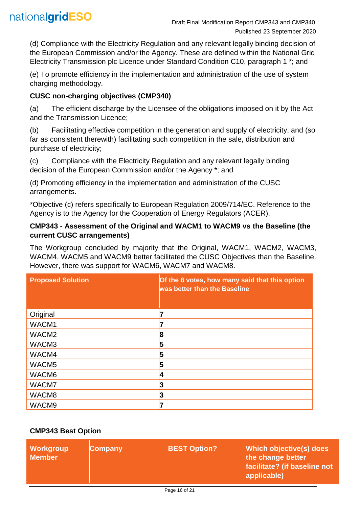

(d) Compliance with the Electricity Regulation and any relevant legally binding decision of the European Commission and/or the Agency. These are defined within the National Grid Electricity Transmission plc Licence under Standard Condition C10, paragraph 1 \*; and

(e) To promote efficiency in the implementation and administration of the use of system charging methodology.

#### **CUSC non-charging objectives (CMP340)**

(a) The efficient discharge by the Licensee of the obligations imposed on it by the Act and the Transmission Licence;

(b) Facilitating effective competition in the generation and supply of electricity, and (so far as consistent therewith) facilitating such competition in the sale, distribution and purchase of electricity;

(c) Compliance with the Electricity Regulation and any relevant legally binding decision of the European Commission and/or the Agency \*; and

(d) Promoting efficiency in the implementation and administration of the CUSC arrangements.

\*Objective (c) refers specifically to European Regulation 2009/714/EC. Reference to the Agency is to the Agency for the Cooperation of Energy Regulators (ACER).

#### **CMP343 - Assessment of the Original and WACM1 to WACM9 vs the Baseline (the current CUSC arrangements)**

The Workgroup concluded by majority that the Original, WACM1, WACM2, WACM3, WACM4, WACM5 and WACM9 better facilitated the CUSC Objectives than the Baseline. However, there was support for WACM6, WACM7 and WACM8.

| <b>Proposed Solution</b> | Of the 8 votes, how many said that this option<br>was better than the Baseline |
|--------------------------|--------------------------------------------------------------------------------|
| Original                 |                                                                                |
| WACM1                    |                                                                                |
| WACM <sub>2</sub>        | 18                                                                             |
| WACM3                    | 5                                                                              |
| WACM4                    | 5                                                                              |
| WACM <sub>5</sub>        | 5                                                                              |
| WACM6                    | n                                                                              |
| WACM7                    | 3                                                                              |
| WACM8                    | 13                                                                             |
| WACM9                    |                                                                                |

## **CMP343 Best Option**

| Workgroup<br><b>Member</b> | <b>Company</b> | <b>BEST Option?</b> | Which objective(s) does<br>the change better<br>facilitate? (if baseline not<br>applicable) |
|----------------------------|----------------|---------------------|---------------------------------------------------------------------------------------------|
|----------------------------|----------------|---------------------|---------------------------------------------------------------------------------------------|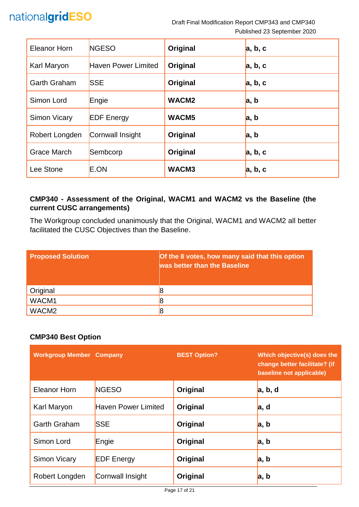# nationalgridESO

Draft Final Modification Report CMP343 and CMP340 Published 23 September 2020

| Eleanor Horn        | <b>NGESO</b>               | Original          | a, b, c |
|---------------------|----------------------------|-------------------|---------|
| Karl Maryon         | <b>Haven Power Limited</b> | Original          | a, b, c |
| Garth Graham        | <b>SSE</b>                 | Original          | a, b, c |
| Simon Lord          | Engie                      | WACM <sub>2</sub> | a, b    |
| <b>Simon Vicary</b> | <b>EDF</b> Energy          | WACM <sub>5</sub> | a, b    |
| Robert Longden      | Cornwall Insight           | Original          | a, b    |
| <b>Grace March</b>  | Sembcorp                   | Original          | a, b, c |
| Lee Stone           | E.ON                       | WACM3             | a, b, c |

# **CMP340 - Assessment of the Original, WACM1 and WACM2 vs the Baseline (the current CUSC arrangements)**

The Workgroup concluded unanimously that the Original, WACM1 and WACM2 all better facilitated the CUSC Objectives than the Baseline.

| <b>Proposed Solution</b> | Of the 8 votes, how many said that this option<br>was better than the Baseline |
|--------------------------|--------------------------------------------------------------------------------|
| Original                 |                                                                                |
| WACM1                    |                                                                                |
| WACM <sub>2</sub>        |                                                                                |

## **CMP340 Best Option**

| <b>Workgroup Member Company</b> |                            | <b>BEST Option?</b> | Which objective(s) does the<br>change better facilitate? (if<br>baseline not applicable) |
|---------------------------------|----------------------------|---------------------|------------------------------------------------------------------------------------------|
| Eleanor Horn                    | <b>NGESO</b>               | Original            | a, b, d                                                                                  |
| Karl Maryon                     | <b>Haven Power Limited</b> | Original            | a, d                                                                                     |
| <b>Garth Graham</b>             | <b>SSE</b>                 | Original            | a, b                                                                                     |
| Simon Lord                      | Engie                      | Original            | a, b                                                                                     |
| Simon Vicary                    | <b>EDF</b> Energy          | Original            | a, b                                                                                     |
| Robert Longden                  | Cornwall Insight           | Original            | a, b                                                                                     |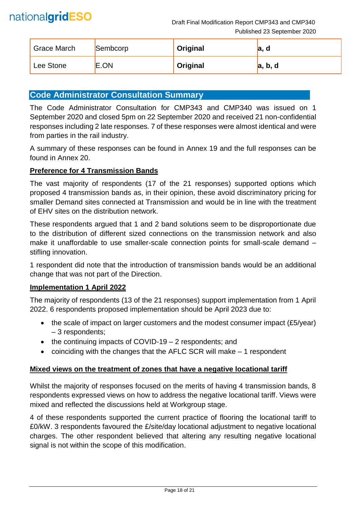| <b>Grace March</b> | Sembcorp | Original | а,<br>O |
|--------------------|----------|----------|---------|
| Lee Stone          | E.ON     | Original | a, b, d |

# **Code Administrator Consultation Summary**

The Code Administrator Consultation for CMP343 and CMP340 was issued on 1 September 2020 and closed 5pm on 22 September 2020 and received 21 non-confidential responses including 2 late responses. 7 of these responses were almost identical and were from parties in the rail industry.

A summary of these responses can be found in Annex 19 and the full responses can be found in Annex 20.

#### **Preference for 4 Transmission Bands**

The vast majority of respondents (17 of the 21 responses) supported options which proposed 4 transmission bands as, in their opinion, these avoid discriminatory pricing for smaller Demand sites connected at Transmission and would be in line with the treatment of EHV sites on the distribution network.

These respondents argued that 1 and 2 band solutions seem to be disproportionate due to the distribution of different sized connections on the transmission network and also make it unaffordable to use smaller-scale connection points for small-scale demand – stifling innovation.

1 respondent did note that the introduction of transmission bands would be an additional change that was not part of the Direction.

#### **Implementation 1 April 2022**

The majority of respondents (13 of the 21 responses) support implementation from 1 April 2022. 6 respondents proposed implementation should be April 2023 due to:

- the scale of impact on larger customers and the modest consumer impact (£5/year) – 3 respondents;
- the continuing impacts of COVID-19 2 respondents; and
- coinciding with the changes that the AFLC SCR will make 1 respondent

## **Mixed views on the treatment of zones that have a negative locational tariff**

Whilst the majority of responses focused on the merits of having 4 transmission bands, 8 respondents expressed views on how to address the negative locational tariff. Views were mixed and reflected the discussions held at Workgroup stage.

4 of these respondents supported the current practice of flooring the locational tariff to £0/kW. 3 respondents favoured the £/site/day locational adjustment to negative locational charges. The other respondent believed that altering any resulting negative locational signal is not within the scope of this modification.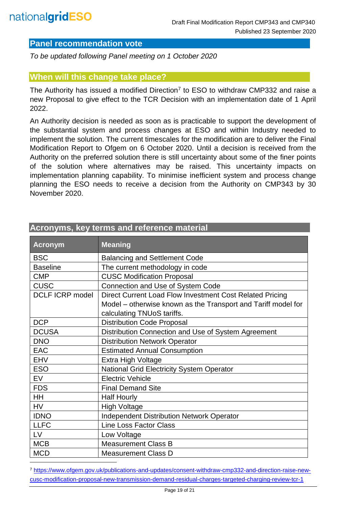l

# **Panel recommendation vote**

*To be updated following Panel meeting on 1 October 2020*

#### **When will this change take place?**

The Authority has issued a modified Direction<sup>7</sup> to ESO to withdraw CMP332 and raise a new Proposal to give effect to the TCR Decision with an implementation date of 1 April 2022.

An Authority decision is needed as soon as is practicable to support the development of the substantial system and process changes at ESO and within Industry needed to implement the solution. The current timescales for the modification are to deliver the Final Modification Report to Ofgem on 6 October 2020. Until a decision is received from the Authority on the preferred solution there is still uncertainty about some of the finer points of the solution where alternatives may be raised. This uncertainty impacts on implementation planning capability. To minimise inefficient system and process change planning the ESO needs to receive a decision from the Authority on CMP343 by 30 November 2020.

| <b>Acronym</b>         | <b>Meaning</b>                                                |  |
|------------------------|---------------------------------------------------------------|--|
| <b>BSC</b>             | <b>Balancing and Settlement Code</b>                          |  |
| <b>Baseline</b>        | The current methodology in code                               |  |
| <b>CMP</b>             | <b>CUSC Modification Proposal</b>                             |  |
| <b>CUSC</b>            | Connection and Use of System Code                             |  |
| <b>DCLF ICRP model</b> | Direct Current Load Flow Investment Cost Related Pricing      |  |
|                        | Model – otherwise known as the Transport and Tariff model for |  |
|                        | calculating TNUoS tariffs.                                    |  |
| <b>DCP</b>             | <b>Distribution Code Proposal</b>                             |  |
| <b>DCUSA</b>           | Distribution Connection and Use of System Agreement           |  |
| <b>DNO</b>             | <b>Distribution Network Operator</b>                          |  |
| <b>EAC</b>             | <b>Estimated Annual Consumption</b>                           |  |
| <b>EHV</b>             | Extra High Voltage                                            |  |
| <b>ESO</b>             | <b>National Grid Electricity System Operator</b>              |  |
| <b>EV</b>              | <b>Electric Vehicle</b>                                       |  |
| <b>FDS</b>             | <b>Final Demand Site</b>                                      |  |
| HH                     | <b>Half Hourly</b>                                            |  |
| <b>HV</b>              | <b>High Voltage</b>                                           |  |
| <b>IDNO</b>            | <b>Independent Distribution Network Operator</b>              |  |
| <b>LLFC</b>            | <b>Line Loss Factor Class</b>                                 |  |
| LV                     | Low Voltage                                                   |  |
| <b>MCB</b>             | <b>Measurement Class B</b>                                    |  |
| <b>MCD</b>             | <b>Measurement Class D</b>                                    |  |

# **Acronyms, key terms and reference material**

<sup>7</sup> [https://www.ofgem.gov.uk/publications-and-updates/consent-withdraw-cmp332-and-direction-raise-new](https://www.ofgem.gov.uk/publications-and-updates/consent-withdraw-cmp332-and-direction-raise-new-cusc-modification-proposal-new-transmission-demand-residual-charges-targeted-charging-review-tcr-1)[cusc-modification-proposal-new-transmission-demand-residual-charges-targeted-charging-review-tcr-1](https://www.ofgem.gov.uk/publications-and-updates/consent-withdraw-cmp332-and-direction-raise-new-cusc-modification-proposal-new-transmission-demand-residual-charges-targeted-charging-review-tcr-1)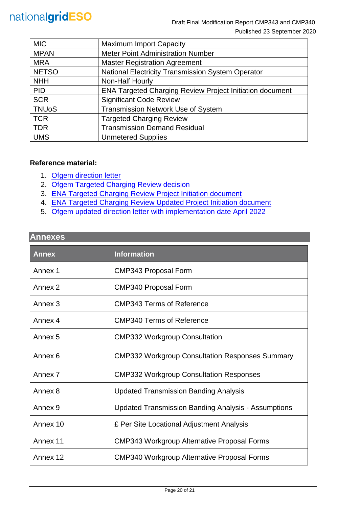| <b>MIC</b>   | <b>Maximum Import Capacity</b>                                  |  |
|--------------|-----------------------------------------------------------------|--|
| <b>MPAN</b>  | <b>Meter Point Administration Number</b>                        |  |
| <b>MRA</b>   | <b>Master Registration Agreement</b>                            |  |
| <b>NETSO</b> | National Electricity Transmission System Operator               |  |
| <b>NHH</b>   | Non-Half Hourly                                                 |  |
| <b>PID</b>   | <b>ENA Targeted Charging Review Project Initiation document</b> |  |
| <b>SCR</b>   | <b>Significant Code Review</b>                                  |  |
| <b>TNUoS</b> | Transmission Network Use of System                              |  |
| <b>TCR</b>   | <b>Targeted Charging Review</b>                                 |  |
| <b>TDR</b>   | <b>Transmission Demand Residual</b>                             |  |
| <b>UMS</b>   | <b>Unmetered Supplies</b>                                       |  |

#### **Reference material:**

- 1. [Ofgem direction letter](https://www.ofgem.gov.uk/system/files/docs/2019/11/cusc_direction_1.pdf)
- 2. [Ofgem Targeted Charging Review decision](https://www.ofgem.gov.uk/system/files/docs/2019/12/full_decision_doc_updated.pdf)
- 3. [ENA Targeted Charging Review Project Initiation document](https://urldefense.com/v3/__http:/www.chargingfutures.com/media/1390/tcr-joint-eso-dno-pid-v10.pdf__;!70_KdN2uTJA!iTCC0uKa-KGiJ-mbkt9wKAdUd4VEQgNAnFADH7gkPuWIOXPyWFJ25WItQW-c8yUgXR06uw$)
- 4. [ENA Targeted Charging Review Updated Project Initiation document](http://www.chargingfutures.com/media/1444/tcr-joint-eso-dno-pid-update-v11.pdf)
- 5. Ofgem updated direction letter [with implementation date April 2022](https://www.ofgem.gov.uk/publications-and-updates/consent-withdraw-cmp332-and-direction-raise-new-cusc-modification-proposal-new-transmission-demand-residual-charges-targeted-charging-review-tcr-1)

# **Annexes**

| <b>Annex</b>       | <b>Information</b>                                         |
|--------------------|------------------------------------------------------------|
| Annex 1            | <b>CMP343 Proposal Form</b>                                |
| Annex <sub>2</sub> | <b>CMP340 Proposal Form</b>                                |
| Annex <sub>3</sub> | <b>CMP343 Terms of Reference</b>                           |
| Annex 4            | <b>CMP340 Terms of Reference</b>                           |
| Annex <sub>5</sub> | <b>CMP332 Workgroup Consultation</b>                       |
| Annex 6            | <b>CMP332 Workgroup Consultation Responses Summary</b>     |
| Annex <sub>7</sub> | <b>CMP332 Workgroup Consultation Responses</b>             |
| Annex 8            | <b>Updated Transmission Banding Analysis</b>               |
| Annex <sub>9</sub> | <b>Updated Transmission Banding Analysis - Assumptions</b> |
| Annex 10           | £ Per Site Locational Adjustment Analysis                  |
| Annex 11           | <b>CMP343 Workgroup Alternative Proposal Forms</b>         |
| Annex 12           | <b>CMP340 Workgroup Alternative Proposal Forms</b>         |